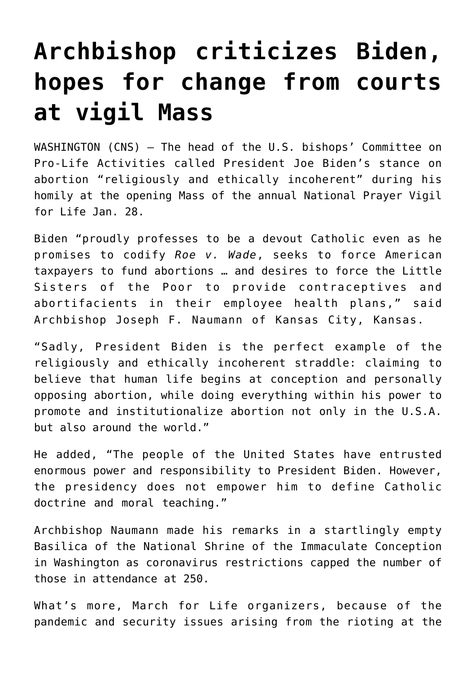## **[Archbishop criticizes Biden,](https://www.osvnews.com/2021/01/29/archbishop-criticizes-biden-hopes-for-change-from-courts-at-vigil-mass/) [hopes for change from courts](https://www.osvnews.com/2021/01/29/archbishop-criticizes-biden-hopes-for-change-from-courts-at-vigil-mass/) [at vigil Mass](https://www.osvnews.com/2021/01/29/archbishop-criticizes-biden-hopes-for-change-from-courts-at-vigil-mass/)**

WASHINGTON (CNS) — The head of the U.S. bishops' Committee on Pro-Life Activities called President Joe Biden's stance on abortion "religiously and ethically incoherent" during his homily at the opening Mass of the annual National Prayer Vigil for Life Jan. 28.

Biden "proudly professes to be a devout Catholic even as he promises to codify *Roe v. Wade*, seeks to force American taxpayers to fund abortions … and desires to force the Little Sisters of the Poor to provide contraceptives and abortifacients in their employee health plans," said Archbishop Joseph F. Naumann of Kansas City, Kansas.

"Sadly, President Biden is the perfect example of the religiously and ethically incoherent straddle: claiming to believe that human life begins at conception and personally opposing abortion, while doing everything within his power to promote and institutionalize abortion not only in the U.S.A. but also around the world."

He added, "The people of the United States have entrusted enormous power and responsibility to President Biden. However, the presidency does not empower him to define Catholic doctrine and moral teaching."

Archbishop Naumann made his remarks in a startlingly empty Basilica of the National Shrine of the Immaculate Conception in Washington as coronavirus restrictions capped the number of those in attendance at 250.

What's more, March for Life organizers, because of the pandemic and security issues arising from the rioting at the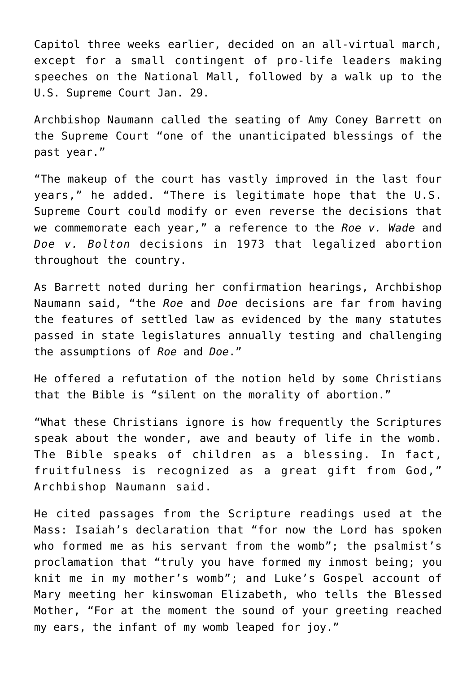Capitol three weeks earlier, decided on an all-virtual march, except for a small contingent of pro-life leaders making speeches on the National Mall, followed by a walk up to the U.S. Supreme Court Jan. 29.

Archbishop Naumann called the seating of Amy Coney Barrett on the Supreme Court "one of the unanticipated blessings of the past year."

"The makeup of the court has vastly improved in the last four years," he added. "There is legitimate hope that the U.S. Supreme Court could modify or even reverse the decisions that we commemorate each year," a reference to the *Roe v. Wade* and *Doe v. Bolton* decisions in 1973 that legalized abortion throughout the country.

As Barrett noted during her confirmation hearings, Archbishop Naumann said, "the *Roe* and *Doe* decisions are far from having the features of settled law as evidenced by the many statutes passed in state legislatures annually testing and challenging the assumptions of *Roe* and *Doe*."

He offered a refutation of the notion held by some Christians that the Bible is "silent on the morality of abortion."

"What these Christians ignore is how frequently the Scriptures speak about the wonder, awe and beauty of life in the womb. The Bible speaks of children as a blessing. In fact, fruitfulness is recognized as a great gift from God," Archbishop Naumann said.

He cited passages from the Scripture readings used at the Mass: Isaiah's declaration that "for now the Lord has spoken who formed me as his servant from the womb"; the psalmist's proclamation that "truly you have formed my inmost being; you knit me in my mother's womb"; and Luke's Gospel account of Mary meeting her kinswoman Elizabeth, who tells the Blessed Mother, "For at the moment the sound of your greeting reached my ears, the infant of my womb leaped for joy."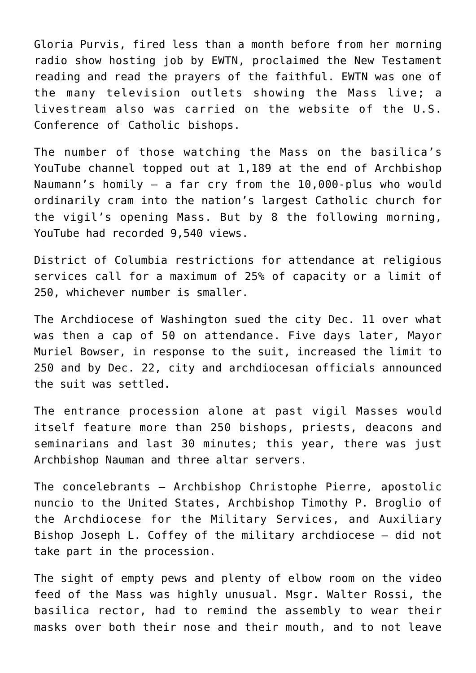Gloria Purvis, fired less than a month before from her morning radio show hosting job by EWTN, proclaimed the New Testament reading and read the prayers of the faithful. EWTN was one of the many television outlets showing the Mass live; a livestream also was carried on the website of the U.S. Conference of Catholic bishops.

The number of those watching the Mass on the basilica's YouTube channel topped out at 1,189 at the end of Archbishop Naumann's homily — a far cry from the 10,000-plus who would ordinarily cram into the nation's largest Catholic church for the vigil's opening Mass. But by 8 the following morning, YouTube had recorded 9,540 views.

District of Columbia restrictions for attendance at religious services call for a maximum of 25% of capacity or a limit of 250, whichever number is smaller.

The Archdiocese of Washington sued the city Dec. 11 over what was then a cap of 50 on attendance. Five days later, Mayor Muriel Bowser, in response to the suit, increased the limit to 250 and by Dec. 22, city and archdiocesan officials announced the suit was settled.

The entrance procession alone at past vigil Masses would itself feature more than 250 bishops, priests, deacons and seminarians and last 30 minutes; this year, there was just Archbishop Nauman and three altar servers.

The concelebrants — Archbishop Christophe Pierre, apostolic nuncio to the United States, Archbishop Timothy P. Broglio of the Archdiocese for the Military Services, and Auxiliary Bishop Joseph L. Coffey of the military archdiocese — did not take part in the procession.

The sight of empty pews and plenty of elbow room on the video feed of the Mass was highly unusual. Msgr. Walter Rossi, the basilica rector, had to remind the assembly to wear their masks over both their nose and their mouth, and to not leave